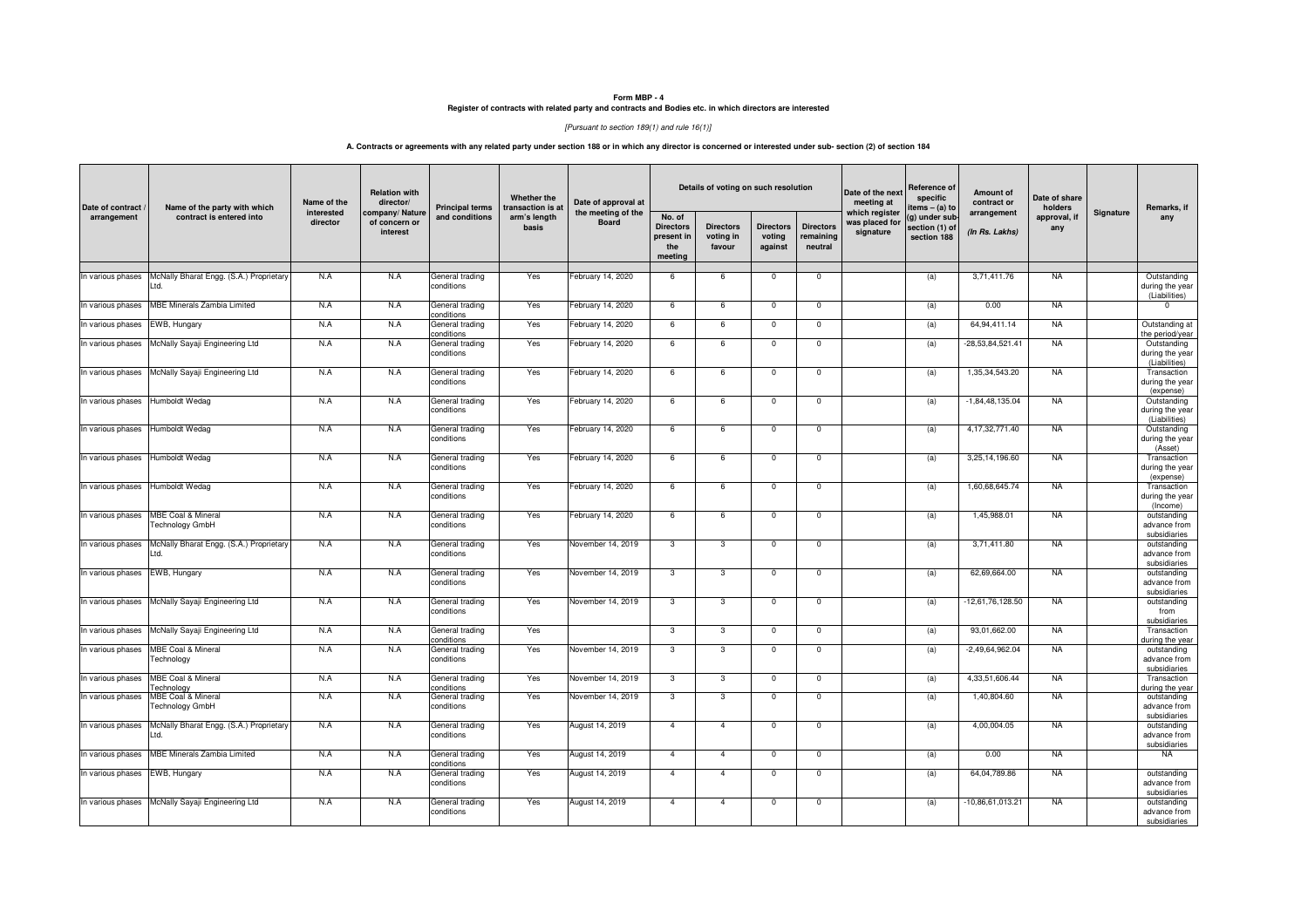# **Form MBP - 4 Register of contracts with related party and contracts and Bodies etc. in which directors are interested**

## [Pursuant to section 189(1) and rule 16(1)]

## **A. Contracts or agreements with any related party under section 188 or in which any director is concerned or interested under sub- section (2) of section 184**

| Date of contract<br>arrangement | Name of the party with which                            | Name of the            | <b>Relation with</b><br>director/           | <b>Principal terms</b>        | Whether the<br>transaction is at | Date of approval at                |                                                            | Details of voting on such resolution    |                                       |                                          | Date of the next<br>meeting at                | Reference of<br>specific<br>items – (a) to     | Amount of<br>contract or      | Date of share<br>holders |           | Remarks, if                                                  |
|---------------------------------|---------------------------------------------------------|------------------------|---------------------------------------------|-------------------------------|----------------------------------|------------------------------------|------------------------------------------------------------|-----------------------------------------|---------------------------------------|------------------------------------------|-----------------------------------------------|------------------------------------------------|-------------------------------|--------------------------|-----------|--------------------------------------------------------------|
|                                 | contract is entered into                                | interested<br>director | company/Nature<br>of concern or<br>interest | and conditions                | arm's length<br>basis            | the meeting of the<br><b>Board</b> | No. of<br><b>Directors</b><br>present in<br>the<br>meeting | <b>Directors</b><br>voting in<br>favour | <b>Directors</b><br>voting<br>against | <b>Directors</b><br>remaining<br>neutral | which register<br>was placed for<br>signature | g) under sub-<br>section (1) of<br>section 188 | arrangement<br>(In Rs. Lakhs) | approval, if<br>any      | Signature | any                                                          |
| In various phases               | McNally Bharat Engg. (S.A.) Proprietary<br>ht I         | N.A                    | N.A                                         | General trading<br>conditions | Yes                              | February 14, 2020                  | 6                                                          | 6                                       | $\mathbf 0$                           | $\mathbf 0$                              |                                               | (a)                                            | 3,71,411.76                   | <b>NA</b>                |           | Outstanding<br>during the year<br>(Liabilities)              |
| In various phases               | <b>MBE Minerals Zambia Limited</b>                      | N.A                    | N.A                                         | General trading<br>conditions | Yes                              | February 14, 2020                  | 6                                                          | 6                                       | $\mathbf 0$                           | $\mathbf 0$                              |                                               | (a)                                            | 0.00                          | <b>NA</b>                |           | $\Omega$                                                     |
| In various phases               | EWB, Hungary                                            | N.A                    | N.A                                         | General trading<br>conditions | Yes                              | February 14, 2020                  | 6                                                          | 6                                       | $\mathbf{0}$                          | $\mathbf{0}$                             |                                               | (a)                                            | 64.94.411.14                  | <b>NA</b>                |           | Outstanding at<br>the period/year                            |
| In various phases               | McNally Sayaji Engineering Ltd                          | N.A                    | N.A                                         | General trading<br>conditions | Yes                              | February 14, 2020                  | 6                                                          | 6                                       | $\mathbf{0}$                          | $\mathbf{0}$                             |                                               | (a)                                            | -28.53.84.521.41              | <b>NA</b>                |           | Outstanding<br>during the year<br>(Liabilities)              |
| In various phases               | McNally Sayaji Engineering Ltd                          | N.A                    | N.A                                         | General trading<br>conditions | Yes                              | February 14, 2020                  | 6                                                          | 6                                       | $\overline{0}$                        | $\overline{0}$                           |                                               | (a)                                            | 1,35,34,543.20                | <b>NA</b>                |           | Transaction<br>during the year                               |
| In various phases               | Humboldt Wedag                                          | N.A                    | N.A                                         | General trading<br>conditions | Yes                              | February 14, 2020                  | 6                                                          | 6                                       | $\mathbf{0}$                          | $\Omega$                                 |                                               | (a)                                            | $-1,84,48,135.04$             | <b>NA</b>                |           | (expense)<br>Outstanding<br>during the year<br>(Liabilities) |
| In various phases               | Humboldt Wedag                                          | N.A                    | N.A                                         | General trading<br>conditions | Yes                              | February 14, 2020                  | 6                                                          | 6                                       | $\mathbf{0}$                          | $\mathbf{0}$                             |                                               | (a)                                            | 4.17.32.771.40                | <b>NA</b>                |           | Outstanding<br>during the year<br>(Asset)                    |
| In various phases               | Humboldt Wedag                                          | N.A                    | N.A                                         | General trading<br>conditions | Yes                              | February 14, 2020                  | 6                                                          | 6                                       | $\mathbf 0$                           | $\mathbf 0$                              |                                               | (a)                                            | 3,25,14,196.60                | <b>NA</b>                |           | Transaction<br>during the year<br>(expense)                  |
| In various phases               | Humboldt Wedag                                          | N.A                    | N.A                                         | General trading<br>conditions | Yes                              | February 14, 2020                  | 6                                                          | 6                                       | $\mathbf 0$                           | $\mathbf 0$                              |                                               | (a)                                            | 1,60,68,645.74                | <b>NA</b>                |           | Transaction<br>during the year<br>(Income)                   |
| In various phases               | <b>MBE Coal &amp; Mineral</b><br><b>Technology GmbH</b> | N.A                    | N.A                                         | General trading<br>conditions | Yes                              | February 14, 2020                  | 6                                                          | 6                                       | $\mathbf{0}$                          | $\mathbf{0}$                             |                                               | (a)                                            | 1.45.988.01                   | <b>NA</b>                |           | outstanding<br>advance from<br>subsidiaries                  |
| In various phases               | McNally Bharat Engg. (S.A.) Proprietary<br>Ltd.         | N.A                    | N.A                                         | General trading<br>conditions | Yes                              | November 14, 2019                  | 3                                                          | 3                                       | $\mathbf 0$                           | $\mathbf 0$                              |                                               | (a)                                            | 3,71,411.80                   | <b>NA</b>                |           | outstanding<br>advance from<br>subsidiaries                  |
| In various phases               | EWB, Hungary                                            | N.A                    | N.A                                         | General trading<br>conditions | Yes                              | November 14, 2019                  | 3                                                          | 3                                       | $^{\circ}$                            | $\Omega$                                 |                                               | (a)                                            | 62,69,664.00                  | <b>NA</b>                |           | outstanding<br>advance from<br>subsidiaries                  |
| In various phases               | McNally Sayaji Engineering Ltd                          | N.A                    | N.A                                         | General trading<br>conditions | Yes                              | November 14, 2019                  | 3                                                          | 3                                       | $\mathbf 0$                           | $\mathbf 0$                              |                                               | (a)                                            | 12,61,76,128.50               | <b>NA</b>                |           | outstanding<br>from<br>subsidiaries                          |
| In various phases               | McNally Sayaji Engineering Ltd                          | N.A                    | N.A                                         | General trading<br>conditions | Yes                              |                                    | 3                                                          | 3                                       | $\mathsf 0$                           | $\mathsf 0$                              |                                               | (a)                                            | 93,01,662.00                  | <b>NA</b>                |           | Transaction<br>during the year                               |
| In various phases               | <b>MBE Coal &amp; Mineral</b><br>Technology             | N.A                    | N.A                                         | General trading<br>conditions | Yes                              | November 14, 2019                  | 3                                                          | $\overline{3}$                          | $\overline{0}$                        | $\overline{0}$                           |                                               | (a)                                            | $-2,49,64,962.04$             | <b>NA</b>                |           | outstanding<br>advance from<br>subsidiaries                  |
| In various phases               | MBE Coal & Mineral<br>Technoloav                        | N.A                    | N.A                                         | General trading<br>conditions | Yes                              | November 14, 2019                  | 3                                                          | 3                                       | $\mathbf 0$                           | $\mathbf{0}$                             |                                               | (a)                                            | 4,33,51,606.44                | <b>NA</b>                |           | Transaction<br>during the year                               |
| In various phases               | <b>MBE Coal &amp; Mineral</b><br><b>Technology GmbH</b> | N.A                    | N.A                                         | General trading<br>conditions | Yes                              | November 14, 2019                  | 3                                                          | 3                                       | $\mathbf 0$                           | $\mathbf{0}$                             |                                               | (a)                                            | 1,40,804.60                   | <b>NA</b>                |           | outstanding<br>advance from<br>subsidiaries                  |
| In various phases               | McNally Bharat Engg. (S.A.) Proprietary<br>Ltd.         | N.A                    | N.A                                         | General trading<br>conditions | Yes                              | August 14, 2019                    | $\overline{4}$                                             | $\overline{4}$                          | $\mathbf 0$                           | $\mathbf 0$                              |                                               | (a)                                            | 4,00,004.05                   | <b>NA</b>                |           | outstanding<br>advance from<br>subsidiaries                  |
| In various phases               | <b>MBE Minerals Zambia Limited</b>                      | N.A                    | N.A                                         | General trading<br>conditions | Yes                              | August 14, 2019                    | $\overline{4}$                                             | $\overline{4}$                          | $\mathbf 0$                           | $\mathbf 0$                              |                                               | (a)                                            | 0.00                          | <b>NA</b>                |           | NA                                                           |
| In various phases EWB, Hungary  |                                                         | N.A                    | N.A                                         | General trading<br>conditions | Yes                              | August 14, 2019                    | $\overline{4}$                                             | $\overline{4}$                          | $^{\circ}$                            | $^{\circ}$                               |                                               | (a)                                            | 64,04,789.86                  | <b>NA</b>                |           | outstanding<br>advance from<br>subsidiaries                  |
| In various phases               | McNally Sayaji Engineering Ltd                          | N.A                    | N.A                                         | General trading<br>conditions | Yes                              | August 14, 2019                    | $\overline{4}$                                             | $\overline{4}$                          | $\mathbf{0}$                          | $\mathbf{0}$                             |                                               | (a)                                            | $-10.86.61.013.21$            | <b>NA</b>                |           | outstanding<br>advance from<br>subsidiaries                  |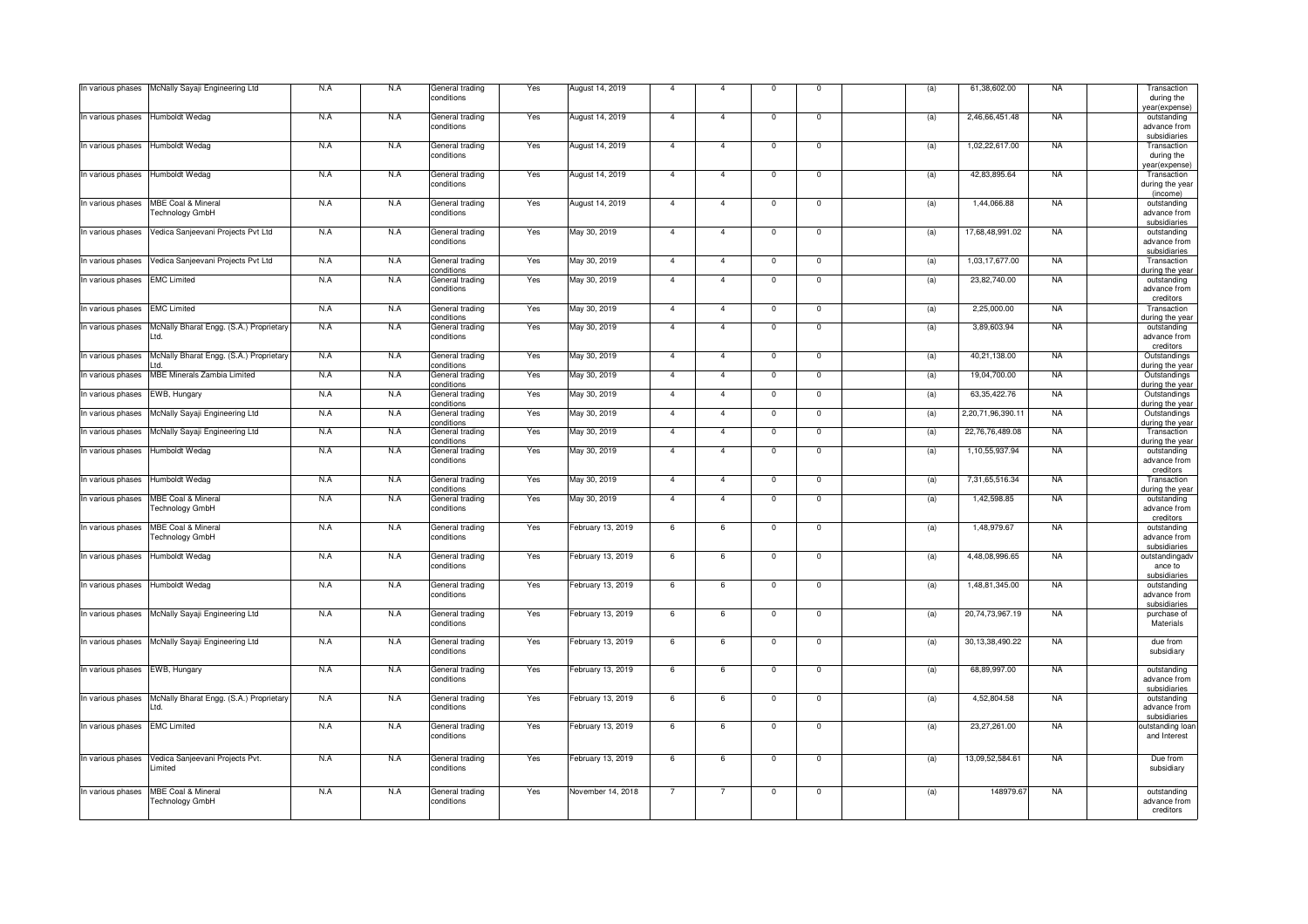|                   |                                                  | N.A | N.A | General trading               | Yes | August 14, 2019   | $\mathbf{A}$   | $\overline{4}$ | $\mathbf 0$             | $\mathbf 0$             |     | 61,38,602.00      | <b>NA</b> | Transaction                                      |
|-------------------|--------------------------------------------------|-----|-----|-------------------------------|-----|-------------------|----------------|----------------|-------------------------|-------------------------|-----|-------------------|-----------|--------------------------------------------------|
| In various phases | McNally Sayaji Engineering Ltd                   |     |     | conditions                    |     |                   |                |                |                         |                         | (a) |                   |           | during the<br>year(expense)                      |
| In various phases | Humboldt Wedag                                   | N.A | N.A | General trading<br>conditions | Yes | August 14, 2019   | $\overline{4}$ | $\overline{4}$ | $\mathbf 0$             | $\mathbf 0$             | (a) | 2,46,66,451.48    | <b>NA</b> | outstanding<br>advance from                      |
| In various phases | Humboldt Wedag                                   | N.A | N.A | General trading<br>conditions | Yes | August 14, 2019   | $\overline{4}$ | $\overline{4}$ | $\overline{0}$          | $\overline{0}$          | (a) | 1,02,22,617.00    | <b>NA</b> | subsidiaries<br>Transaction<br>during the        |
| In various phases | Humboldt Wedag                                   | N.A | N.A | General trading               | Yes | August 14, 2019   | $\overline{4}$ | $\overline{4}$ | $\mathbf 0$             | $\mathbf 0$             | (a) | 42,83,895.64      | <b>NA</b> | ear(expense)<br>Transaction                      |
|                   |                                                  |     |     | conditions                    |     |                   |                |                |                         |                         |     |                   |           | during the year<br>(income)                      |
| In various phases | MBE Coal & Mineral<br>Technology GmbH            | N.A | N.A | General trading<br>conditions | Yes | August 14, 2019   | $\overline{4}$ | $\overline{4}$ | $\mathbf 0$             | $\mathbf 0$             | (a) | 1,44,066.88       | <b>NA</b> | outstanding<br>advance from<br>subsidiaries      |
| In various phases | Vedica Sanjeevani Projects Pvt Ltd               | N.A | N.A | General trading<br>conditions | Yes | May 30, 2019      | $\mathbf{A}$   | $\overline{4}$ | $\Omega$                | $\Omega$                | (a) | 17,68,48,991.02   | <b>NA</b> | outstanding<br>advance from<br>subsidiaries      |
| In various phases | Vedica Sanjeevani Projects Pvt Ltd               | N.A | N.A | General trading<br>conditions | Yes | May 30, 2019      | $\overline{4}$ | $\overline{4}$ | $\Omega$                | $\Omega$                | (a) | 1,03,17,677.00    | <b>NA</b> | Transaction<br>during the year                   |
| In various phases | <b>EMC Limited</b>                               | N.A | N.A | General trading<br>conditions | Yes | May 30, 2019      | $\overline{4}$ | $\overline{4}$ | $\overline{\mathbf{0}}$ | $\overline{0}$          | (a) | 23,82,740.00      | <b>NA</b> | outstanding<br>advance from<br>creditors         |
| In various phases | <b>EMC Limited</b>                               | N.A | N.A | General trading<br>conditions | Yes | May 30, 2019      | $\overline{4}$ | $\overline{4}$ | $\mathbf 0$             | $\mathsf 0$             | (a) | 2,25,000.00       | <b>NA</b> | Transaction<br>during the year                   |
| In various phases | McNally Bharat Engg. (S.A.) Proprietary<br>Ltd.  | N.A | N.A | General trading<br>conditions | Yes | May 30, 2019      | $\overline{4}$ | $\overline{4}$ | $\mathbf 0$             | $\mathbf 0$             | (a) | 3,89,603.94       | <b>NA</b> | outstanding<br>advance from<br>creditors         |
| In various phases | McNally Bharat Engg. (S.A.) Proprietary          | N.A | N.A | General trading<br>conditions | Yes | May 30, 2019      | $\mathbf{A}$   | $\overline{4}$ | $\overline{\mathbf{0}}$ | $\overline{\mathbf{0}}$ | (a) | 40,21,138.00      | <b>NA</b> | Outstandings<br>during the year                  |
| In various phases | <b>MBE Minerals Zambia Limited</b>               | N.A | N.A | General trading<br>conditions | Yes | May 30, 2019      | $\mathbf{A}$   | $\mathbf{4}$   | $\Omega$                | $\Omega$                | (a) | 19,04,700.00      | <b>NA</b> | Outstandings<br>during the year                  |
| In various phases | EWB, Hungary                                     | N.A | N.A | General trading<br>conditions | Yes | May 30, 2019      | $\overline{4}$ | $\overline{4}$ | $\Omega$                | $\Omega$                | (a) | 63,35,422.76      | NA        | Outstandings<br>during the year                  |
| In various phases | McNally Sayaji Engineering Ltd                   | N.A | N.A | General trading<br>conditions | Yes | May 30, 2019      | $\overline{4}$ | $\overline{4}$ | $\overline{0}$          | $\overline{0}$          | (a) | 2,20,71,96,390.11 | <b>NA</b> | Outstandings<br>during the year                  |
| In various phases | McNally Sayaji Engineering Ltd                   | N.A | N.A | General trading<br>conditions | Yes | May 30, 2019      | $\overline{4}$ | $\overline{4}$ | $\overline{\mathbf{0}}$ | $\overline{\mathbf{0}}$ | (a) | 22,76,76,489.08   | <b>NA</b> | Transaction<br>during the year                   |
| In various phases | Humboldt Wedag                                   | N.A | N.A | General trading<br>conditions | Yes | May 30, 2019      | $\overline{4}$ | $\overline{4}$ | $\mathbf 0$             | $\mathbf 0$             | (a) | 1,10,55,937.94    | <b>NA</b> | outstanding<br>advance from<br>creditors         |
| In various phases | Humboldt Wedag                                   | N.A | N.A | General trading<br>conditions | Yes | May 30, 2019      | $\overline{4}$ | $\overline{4}$ | $\mathbf 0$             | $\mathbf 0$             | (a) | 7,31,65,516.34    | <b>NA</b> | Transaction<br>during the year                   |
| In various phases | MBE Coal & Mineral<br>Technology GmbH            | N.A | N.A | General trading<br>conditions | Yes | May 30, 2019      | $\overline{4}$ | $\overline{4}$ | $\Omega$                | $\Omega$                | (a) | 1,42,598.85       | <b>NA</b> | outstanding<br>advance from<br>creditors         |
| In various phases | MBE Coal & Mineral<br>Technology GmbH            | N.A | N.A | General trading<br>conditions | Yes | February 13, 2019 | 6              | 6              | $\Omega$                | $\Omega$                | (a) | 1,48,979.67       | <b>NA</b> | outstanding<br>advance from<br>subsidiaries      |
| In various phases | Humboldt Wedag                                   | N.A | N.A | General trading<br>conditions | Yes | February 13, 2019 | 6              | 6              | $\overline{\mathbf{0}}$ | $\overline{0}$          | (a) | 4,48,08,996.65    | <b>NA</b> | outstandingadv<br>ance to                        |
| In various phases | Humboldt Wedag                                   | N.A | N.A | General trading<br>conditions | Yes | February 13, 2019 | 6              | 6              | $\mathbf 0$             | $\mathbf 0$             | (a) | 1,48,81,345.00    | <b>NA</b> | subsidiaries<br>outstanding<br>advance from      |
| In various phases | McNally Sayaji Engineering Ltd                   | N.A | N.A | General trading<br>conditions | Yes | February 13, 2019 | 6              | 6              | $\mathbf 0$             | $\mathbf 0$             | (a) | 20,74,73,967.19   | <b>NA</b> | subsidiaries<br>purchase of<br>Materials         |
| In various phases | McNally Sayaji Engineering Ltd                   | N.A | N.A | General trading<br>conditions | Yes | February 13, 2019 | 6              | 6              | $\mathbf 0$             | $\mathbf{0}$            | (a) | 30,13,38,490.22   | <b>NA</b> | due from<br>subsidiary                           |
| In various phases | EWB, Hungary                                     | N.A | N.A | General trading<br>conditions | Yes | February 13, 2019 | 6              | 6              | $\overline{0}$          | $\overline{0}$          | (a) | 68,89,997.00      | <b>NA</b> | outstanding<br>advance from                      |
| In various phases | McNally Bharat Engg. (S.A.) Proprietary          | N.A | N.A | General trading<br>conditions | Yes | February 13, 2019 | 6              | 6              | $\mathbf 0$             | $\mathbf 0$             | (a) | 4,52,804.58       | <b>NA</b> | subsidiaries<br>outstanding<br>advance from      |
| In various phases | <b>EMC Limited</b>                               | N.A | N.A | General trading<br>conditions | Yes | February 13, 2019 | 6              | 6              | $\mathbf 0$             | $\mathbf 0$             | (a) | 23,27,261.00      | <b>NA</b> | subsidiaries<br>outstanding loan<br>and Interest |
| In various phases | Vedica Sanjeevani Projects Pvt.<br>Limited       | N.A | N.A | General trading<br>conditions | Yes | February 13, 2019 | 6              | 6              | $\mathbf 0$             | $\mathbf 0$             | (a) | 13,09,52,584.61   | <b>NA</b> | Due from<br>subsidiary                           |
| In various phases | <b>MBE Coal &amp; Mineral</b><br>Technology GmbH | N.A | N.A | General trading<br>conditions | Yes | November 14, 2018 |                | 7              | $\mathbf 0$             | $\mathbf 0$             | (a) | 148979.67         | <b>NA</b> | outstanding<br>advance from<br>creditors         |
|                   |                                                  |     |     |                               |     |                   |                |                |                         |                         |     |                   |           |                                                  |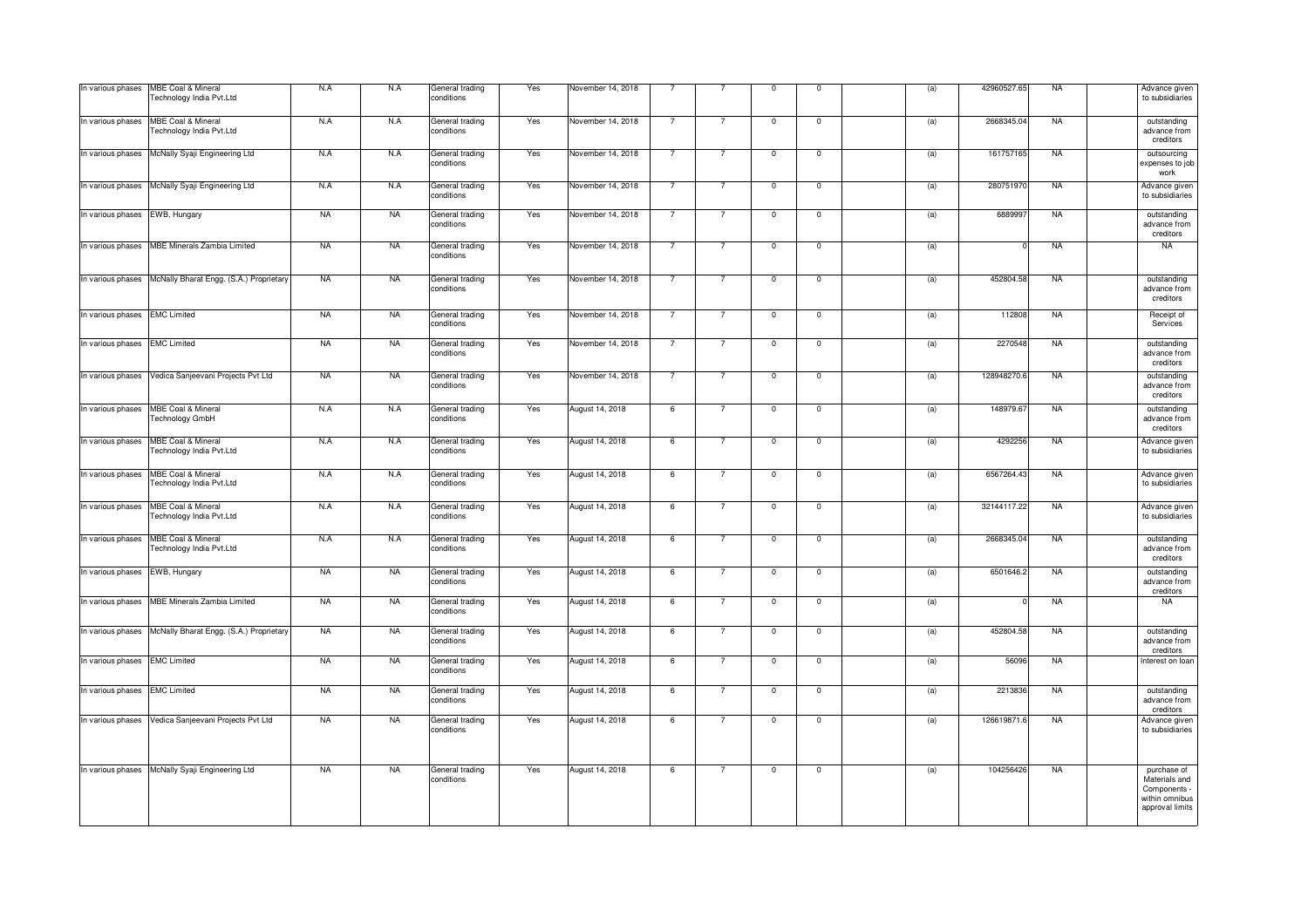| In various phases              | <b>MBE Coal &amp; Mineral</b><br>Technology India Pvt.Ltd | N.A       | N.A       | General trading<br>conditions | Yes | November 14, 2018 | $\overline{7}$ | $\overline{7}$ | $\mathsf 0$    | $\mathsf 0$             | (a) | 42960527.65 | <b>NA</b> | Advance given<br>to subsidiaries                                                  |
|--------------------------------|-----------------------------------------------------------|-----------|-----------|-------------------------------|-----|-------------------|----------------|----------------|----------------|-------------------------|-----|-------------|-----------|-----------------------------------------------------------------------------------|
| In various phases              | MBE Coal & Mineral<br>Technology India Pvt.Ltd            | N.A       | N.A       | General trading<br>conditions | Yes | November 14, 2018 | $\overline{7}$ | $\overline{7}$ | $\mathsf 0$    | $\mathbf 0$             | (a) | 2668345.04  | <b>NA</b> | outstanding<br>advance from<br>creditors                                          |
| In various phases              | McNally Syaji Engineering Ltd                             | N.A       | N.A       | General trading<br>conditions | Yes | November 14, 2018 | $\overline{7}$ | $\overline{7}$ | $\mathsf 0$    | $\mathsf 0$             | (a) | 161757165   | <b>NA</b> | outsourcing<br>expenses to job<br>work                                            |
| In various phases              | McNally Syaji Engineering Ltd                             | N.A       | N.A       | General trading<br>conditions | Yes | November 14, 2018 | $\overline{7}$ | $\overline{7}$ | $\mathsf 0$    | $\mathsf 0$             | (a) | 280751970   | <b>NA</b> | Advance given<br>to subsidiaries                                                  |
| In various phases EWB, Hungary |                                                           | <b>NA</b> | <b>NA</b> | General trading<br>conditions | Yes | November 14, 2018 | $\overline{7}$ | 7              | $\mathbf 0$    | $\mathbf 0$             | (a) | 6889997     | <b>NA</b> | outstanding<br>advance from<br>creditors                                          |
| In various phases              | <b>MBE Minerals Zambia Limited</b>                        | <b>NA</b> | <b>NA</b> | General trading<br>conditions | Yes | November 14, 2018 | $\overline{7}$ | $\overline{7}$ | $\mathbf{0}$   | $\mathbf{0}$            | (a) |             | <b>NA</b> | <b>NA</b>                                                                         |
| In various phases              | McNally Bharat Engg. (S.A.) Proprietary                   | <b>NA</b> | <b>NA</b> | General trading<br>conditions | Yes | November 14, 2018 | $\overline{7}$ | $\overline{7}$ | $\mathsf 0$    | $\mathsf 0$             | (a) | 452804.58   | <b>NA</b> | outstanding<br>advance from<br>creditors                                          |
| In various phases EMC Limited  |                                                           | <b>NA</b> | <b>NA</b> | General trading<br>conditions | Yes | November 14, 2018 | $\overline{7}$ |                | $\mathbf 0$    | $\mathbf 0$             | (a) | 112808      | <b>NA</b> | Receipt of<br>Services                                                            |
| In various phases EMC Limited  |                                                           | <b>NA</b> | <b>NA</b> | General trading<br>conditions | Yes | November 14, 2018 | $\overline{7}$ | 7              | $\mathbf 0$    | $\mathbf 0$             | (a) | 2270548     | <b>NA</b> | outstanding<br>advance from<br>creditors                                          |
| In various phases              | Vedica Sanjeevani Projects Pvt Ltd                        | <b>NA</b> | <b>NA</b> | General trading<br>conditions | Yes | November 14, 2018 | $\overline{7}$ | $\overline{7}$ | $\mathbf 0$    | $\mathbf 0$             | (a) | 128948270.6 | <b>NA</b> | outstanding<br>advance from<br>creditors                                          |
| In various phases              | MBE Coal & Mineral<br>Technology GmbH                     | N.A       | N.A       | General trading<br>conditions | Yes | August 14, 2018   | 6              | $\overline{7}$ | $\Omega$       | $\mathbf{0}$            | (a) | 148979.67   | <b>NA</b> | outstanding<br>advance from<br>creditors                                          |
| In various phases              | MBE Coal & Mineral<br>Technology India Pvt.Ltd            | N.A       | N.A       | General trading<br>conditions | Yes | August 14, 2018   | 6              | $\overline{7}$ | $\mathbf 0$    | $\overline{\mathbf{0}}$ | (a) | 4292256     | <b>NA</b> | Advance given<br>to subsidiaries                                                  |
| In various phases              | <b>MBE Coal &amp; Mineral</b><br>Technology India Pvt.Ltd | N.A       | N.A       | General trading<br>conditions | Yes | August 14, 2018   | 6              | $\overline{7}$ | $\mathbf 0$    | $\mathbf 0$             | (a) | 6567264.43  | <b>NA</b> | Advance given<br>to subsidiaries                                                  |
| In various phases              | <b>MBE Coal &amp; Mineral</b><br>Technology India Pvt.Ltd | N.A       | N.A       | General trading<br>conditions | Yes | August 14, 2018   | 6              | $\overline{7}$ | $\overline{0}$ | $\overline{0}$          | (a) | 32144117.22 | <b>NA</b> | Advance given<br>to subsidiaries                                                  |
| In various phases              | <b>MBE Coal &amp; Mineral</b><br>Technology India Pvt.Ltd | N.A       | N.A       | General trading<br>conditions | Yes | August 14, 2018   | 6              |                | $\mathbf 0$    | $\overline{\mathbf{0}}$ | (a) | 2668345.04  | <b>NA</b> | outstanding<br>advance from<br>creditors                                          |
| In various phases              | EWB, Hungary                                              | <b>NA</b> | <b>NA</b> | General trading<br>conditions | Yes | August 14, 2018   | 6              | $\overline{7}$ | $\circ$        | $\mathbf{0}$            | (a) | 6501646.2   | <b>NA</b> | outstanding<br>advance from<br>creditors                                          |
| In various phases              | <b>MBE Minerals Zambia Limited</b>                        | <b>NA</b> | <b>NA</b> | General trading<br>conditions | Yes | August 14, 2018   | 6              | 7              | $\Omega$       | $\Omega$                | (a) |             | <b>NA</b> | <b>NA</b>                                                                         |
| In various phases              | McNally Bharat Engg. (S.A.) Proprietary                   | <b>NA</b> | <b>NA</b> | General trading<br>conditions | Yes | August 14, 2018   | 6              | $\overline{7}$ | $\mathbf{0}$   | $\mathbf 0$             | (a) | 452804.58   | <b>NA</b> | outstanding<br>advance from<br>creditors                                          |
| In various phases              | <b>EMC Limited</b>                                        | <b>NA</b> | <b>NA</b> | General trading<br>conditions | Yes | August 14, 2018   | 6              | $\overline{7}$ | $\circ$        | $\mathbf{0}$            | (a) | 56096       | <b>NA</b> | Interest on loan                                                                  |
| In various phases              | <b>EMC Limited</b>                                        | <b>NA</b> | <b>NA</b> | General trading<br>conditions | Yes | August 14, 2018   | 6              | $\overline{7}$ | $\mathbf{0}$   | $\mathsf 0$             | (a) | 2213836     | <b>NA</b> | outstanding<br>advance from<br>creditors                                          |
| In various phases              | Vedica Sanjeevani Projects Pvt Ltd                        | <b>NA</b> | <b>NA</b> | General trading<br>conditions | Yes | August 14, 2018   | 6              | $\overline{7}$ | $\mathbf{0}$   | $\mathsf 0$             | (a) | 126619871.6 | <b>NA</b> | Advance given<br>to subsidiaries                                                  |
| In various phases              | McNally Syaji Engineering Ltd                             | <b>NA</b> | <b>NA</b> | General trading<br>conditions | Yes | August 14, 2018   | 6              | 7              | $\circ$        | $\mathbf{0}$            | (a) | 104256426   | <b>NA</b> | purchase of<br>Materials and<br>Components -<br>within omnibus<br>approval limits |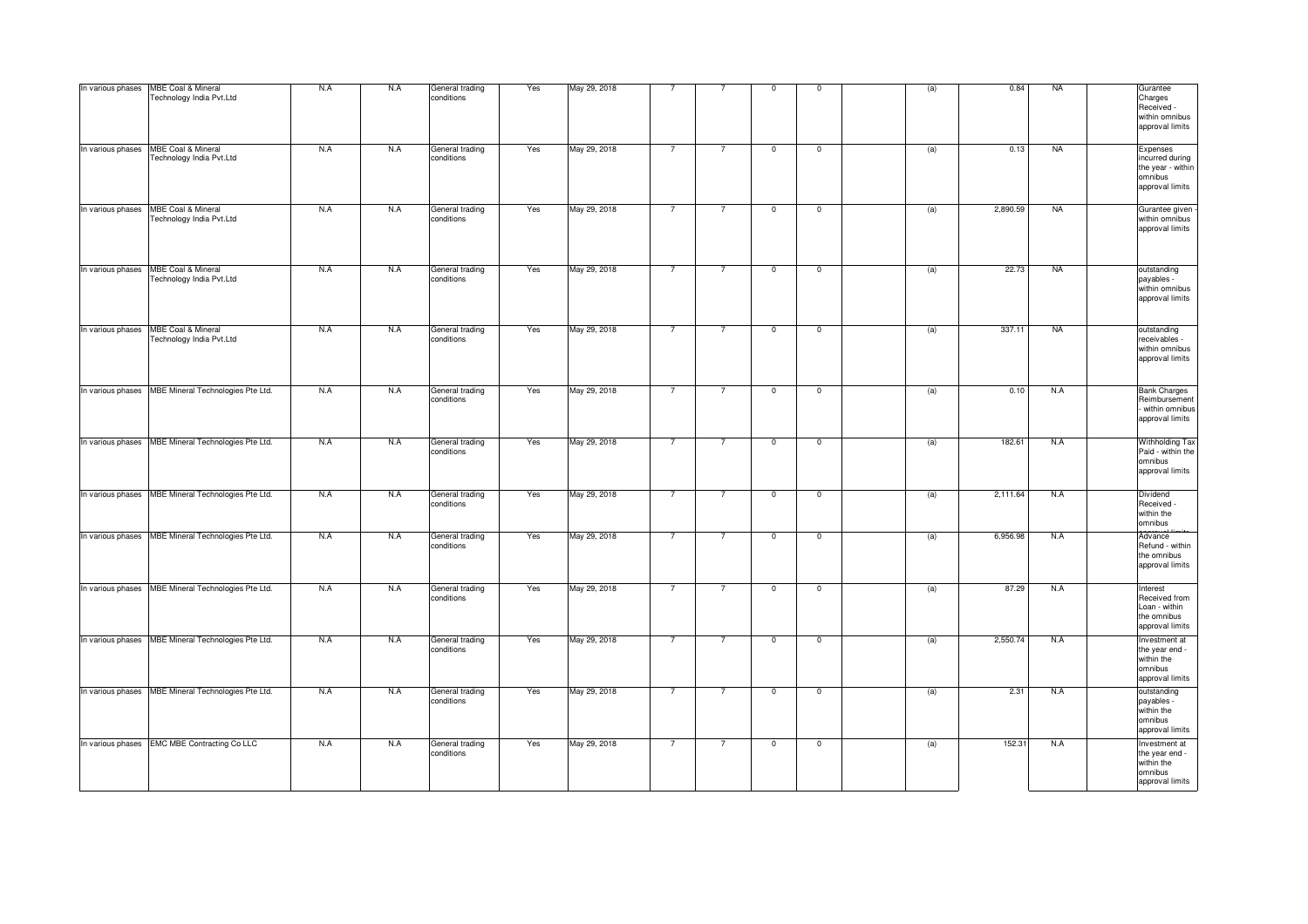| In various phases | MBE Coal & Mineral<br>Technology India Pvt.Ltd            | N.A | N.A | General trading<br>conditions | Yes | May 29, 2018 | $\overline{7}$ | $\overline{7}$ | $\mathbf 0$    | $\mathbf 0$    | (a) | 0.84     | <b>NA</b> | Gurantee<br>Charges<br>Received -<br>within omnibus<br>approval limits         |
|-------------------|-----------------------------------------------------------|-----|-----|-------------------------------|-----|--------------|----------------|----------------|----------------|----------------|-----|----------|-----------|--------------------------------------------------------------------------------|
| In various phases | MBE Coal & Mineral<br>Technology India Pvt.Ltd            | N.A | N.A | General trading<br>conditions | Yes | May 29, 2018 | $\overline{7}$ | $\overline{7}$ | $\mathbf 0$    | $\mathbf{0}$   | (a) | 0.13     | <b>NA</b> | Expenses<br>incurred during<br>the year - within<br>omnibus<br>approval limits |
| In various phases | <b>MBE Coal &amp; Mineral</b><br>Technology India Pvt.Ltd | N.A | N.A | General trading<br>conditions | Yes | May 29, 2018 | $\overline{7}$ | $\overline{7}$ | $\overline{0}$ | $\overline{0}$ | (a) | 2,890.59 | <b>NA</b> | Gurantee given<br>within omnibus<br>approval limits                            |
| In various phases | MBE Coal & Mineral<br>Technology India Pvt.Ltd            | N.A | N.A | General trading<br>conditions | Yes | May 29, 2018 | $\overline{7}$ | $\overline{7}$ | $\mathbf 0$    | $\mathbf{0}$   | (a) | 22.73    | <b>NA</b> | outstanding<br>payables -<br>within omnibus<br>approval limits                 |
| In various phases | <b>MBE Coal &amp; Mineral</b><br>Technology India Pvt.Ltd | N.A | N.A | General trading<br>conditions | Yes | May 29, 2018 | $\overline{7}$ | $\overline{7}$ | $\mathsf 0$    | $\mathsf 0$    | (a) | 337.11   | <b>NA</b> | outstanding<br>receivables -<br>within omnibus<br>approval limits              |
| In various phases | MBE Mineral Technologies Pte Ltd.                         | N.A | N.A | General trading<br>conditions | Yes | May 29, 2018 | $\overline{7}$ | $\overline{7}$ | $\overline{0}$ | $\overline{0}$ | (a) | 0.10     | N.A       | <b>Bank Charges</b><br>Reimbursement<br>- within omnibus<br>approval limits    |
| In various phases | MBE Mineral Technologies Pte Ltd.                         | N.A | N.A | General trading<br>conditions | Yes | May 29, 2018 | $\overline{7}$ | $\overline{7}$ | $\mathsf 0$    | $\mathsf 0$    | (a) | 182.61   | N.A       | Withholding Tax<br>Paid - within the<br>omnibus<br>approval limits             |
| In various phases | MBE Mineral Technologies Pte Ltd.                         | N.A | N.A | General trading<br>conditions | Yes | May 29, 2018 | $\overline{7}$ | $\overline{7}$ | $\mathsf 0$    | $\mathsf 0$    | (a) | 2,111.64 | N.A       | Dividend<br>Received -<br>within the<br>omnibus                                |
| In various phases | MBE Mineral Technologies Pte Ltd.                         | N.A | N.A | General trading<br>conditions | Yes | May 29, 2018 | $\overline{7}$ | $\overline{7}$ | 0              | $\mathbf 0$    | (a) | 6,956.98 | N.A       | Advance<br>Refund - within<br>the omnibus<br>approval limits                   |
|                   | In various phases MBE Mineral Technologies Pte Ltd.       | N.A | N.A | General trading<br>conditions | Yes | May 29, 2018 | $\overline{7}$ | $\overline{7}$ | $\mathbf 0$    | $\mathbf 0$    | (a) | 87.29    | N.A       | Interest<br>Received from<br>Loan - within<br>the omnibus<br>approval limits   |
|                   | In various phases MBE Mineral Technologies Pte Ltd.       | N.A | N.A | General trading<br>conditions | Yes | May 29, 2018 | $\overline{7}$ | $\overline{7}$ | $\mathbf 0$    | $\mathbf 0$    | (a) | 2,550.74 | N.A       | Investment at<br>the year end -<br>within the<br>omnibus<br>approval limits    |
|                   | In various phases MBE Mineral Technologies Pte Ltd.       | N.A | N.A | General trading<br>conditions | Yes | May 29, 2018 | $\overline{7}$ | $\overline{7}$ | $\overline{0}$ | $\mathbf 0$    | (a) | 2.31     | N.A       | outstanding<br>payables -<br>within the<br>omnibus<br>approval limits          |
|                   | In various phases EMC MBE Contracting Co LLC              | N.A | N.A | General trading<br>conditions | Yes | May 29, 2018 | $\overline{7}$ | $\overline{7}$ | $\mathbf 0$    | $\mathbf 0$    | (a) | 152.3    | N.A       | Investment at<br>the year end -<br>within the<br>omnibus<br>approval limits    |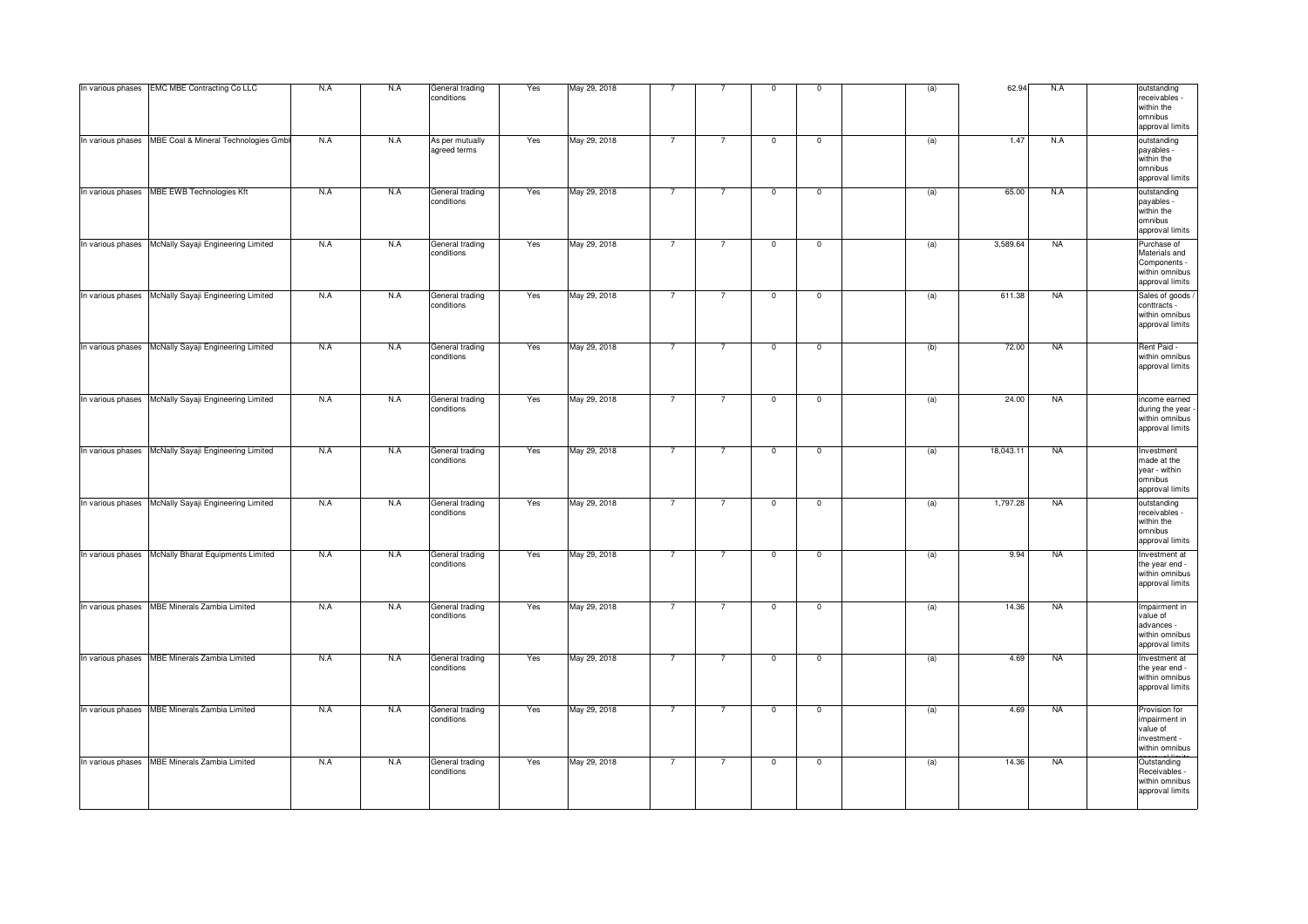| In various phases EMC MBE Contracting Co LLC           | N.A | N.A | General trading<br>conditions   | Yes | May 29, 2018 | $\overline{7}$ | $\overline{7}$ | $\mathsf 0$  | $\mathbf 0$  | (a) | 62.94     | N.A       | outstanding<br>receivables<br>within the<br><b>omnibus</b><br>approval limits     |
|--------------------------------------------------------|-----|-----|---------------------------------|-----|--------------|----------------|----------------|--------------|--------------|-----|-----------|-----------|-----------------------------------------------------------------------------------|
| In various phases MBE Coal & Mineral Technologies Gmbl | N.A | N.A | As per mutually<br>agreed terms | Yes | May 29, 2018 | $\overline{7}$ | $\overline{7}$ | $\mathbf 0$  | $\mathbf 0$  | (a) | 1.47      | N.A       | outstanding<br>payables -<br>within the<br>omnibus<br>approval limits             |
| In various phases MBE EWB Technologies Kft             | N.A | N.A | General trading<br>conditions   | Yes | May 29, 2018 | $\overline{7}$ | $\overline{7}$ | $\mathbf 0$  | $\mathbf 0$  | (a) | 65.00     | N.A       | outstanding<br>payables -<br>within the<br>omnibus<br>approval limits             |
| In various phases McNally Sayaji Engineering Limited   | N.A | N.A | General trading<br>conditions   | Yes | May 29, 2018 | $\overline{7}$ | $\overline{7}$ | $\mathbf{0}$ | $\mathsf 0$  | (a) | 3,589.64  | <b>NA</b> | Purchase of<br>Materials and<br>Components -<br>within omnibus<br>approval limits |
| In various phases McNally Sayaji Engineering Limited   | N.A | N.A | General trading<br>conditions   | Yes | May 29, 2018 | $\overline{7}$ | 7              | $\mathbf 0$  | $\mathbf 0$  | (a) | 611.38    | <b>NA</b> | Sales of goods /<br>conttracts -<br>within omnibus<br>approval limits             |
| In various phases McNally Sayaji Engineering Limited   | N.A | N.A | General trading<br>conditions   | Yes | May 29, 2018 | $\overline{7}$ | $\overline{7}$ | $\mathbf 0$  | $\mathbf 0$  | (b) | 72.00     | <b>NA</b> | Rent Paid -<br>within omnibus<br>approval limits                                  |
| In various phases   McNally Sayaji Engineering Limited | N.A | N.A | General trading<br>conditions   | Yes | May 29, 2018 | $\overline{7}$ | $\overline{7}$ | $\mathbf 0$  | $\mathbf{0}$ | (a) | 24.00     | <b>NA</b> | income earned<br>during the year<br>within omnibus<br>approval limits             |
| In various phases McNally Sayaji Engineering Limited   | N.A | N.A | General trading<br>conditions   | Yes | May 29, 2018 | $\overline{7}$ | 7              | $\mathbf 0$  | $\mathbf 0$  | (a) | 18,043.11 | <b>NA</b> | Investment<br>made at the<br>year - within<br>omnibus<br>approval limits          |
| In various phases McNally Sayaji Engineering Limited   | N.A | N.A | General trading<br>conditions   | Yes | May 29, 2018 | $\overline{7}$ | $\overline{7}$ | $\mathbf 0$  | $\mathbf 0$  | (a) | 1,797.28  | <b>NA</b> | outstanding<br>receivables -<br>within the<br>omnibus<br>approval limits          |
| In various phases   McNally Bharat Equipments Limited  | N.A | N.A | General trading<br>conditions   | Yes | May 29, 2018 | $\overline{7}$ | $\overline{7}$ | $\mathbf 0$  | $\mathsf 0$  | (a) | 9.94      | <b>NA</b> | Investment at<br>the year end -<br>within omnibus<br>approval limits              |
| In various phases MBE Minerals Zambia Limited          | N.A | N.A | General trading<br>conditions   | Yes | May 29, 2018 | $\overline{7}$ | $\overline{7}$ | $\mathbf 0$  | $\mathbf 0$  | (a) | 14.36     | <b>NA</b> | Impairment in<br>value of<br>advances -<br>within omnibus<br>approval limits      |
| In various phases   MBE Minerals Zambia Limited        | N.A | N.A | General trading<br>conditions   | Yes | May 29, 2018 | $\overline{7}$ | $\overline{7}$ | $\mathbf 0$  | $\mathbf 0$  | (a) | 4.69      | <b>NA</b> | Investment at<br>the year end -<br>within omnibus<br>approval limits              |
| In various phases MBE Minerals Zambia Limited          | N.A | N.A | General trading<br>conditions   | Yes | May 29, 2018 | $\overline{7}$ | $\overline{7}$ | $^{\circ}$   | $\mathbf 0$  | (a) | 4.69      | <b>NA</b> | Provision for<br>impairment in<br>value of<br>investment -<br>within omnibus      |
| In various phases MBE Minerals Zambia Limited          | N.A | N.A | General trading<br>conditions   | Yes | May 29, 2018 | $\overline{7}$ | $\overline{7}$ | $\mathbf 0$  | $\mathbf 0$  | (a) | 14.36     | <b>NA</b> | Outstanding<br>Receivables -<br>within omnibus<br>approval limits                 |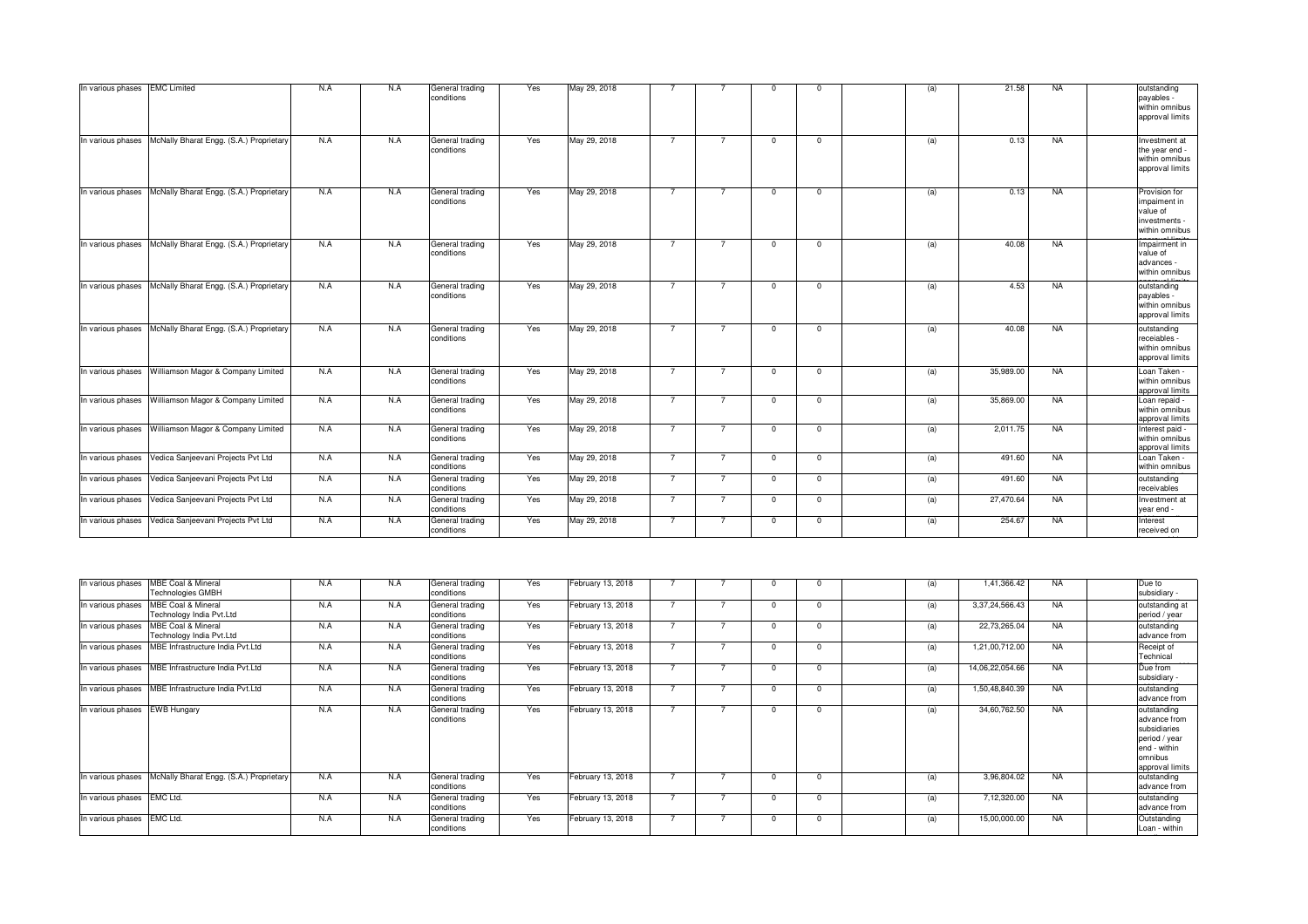| In various phases EMC Limited |                                         | N.A | N.A | General trading<br>conditions | Yes | May 29, 2018 |                | 7              | $\Omega$       | $\overline{0}$ | (a) | 21.58     | <b>NA</b> | outstanding<br>payables -<br>within omnibus<br>approval limits               |
|-------------------------------|-----------------------------------------|-----|-----|-------------------------------|-----|--------------|----------------|----------------|----------------|----------------|-----|-----------|-----------|------------------------------------------------------------------------------|
| In various phases             | McNally Bharat Engg. (S.A.) Proprietary | N.A | N.A | General trading<br>conditions | Yes | May 29, 2018 | $\overline{7}$ | $\overline{7}$ | $\overline{0}$ | $\overline{0}$ | (a) | 0.13      | <b>NA</b> | Investment at<br>the year end -<br>within omnibus<br>approval limits         |
| In various phases             | McNally Bharat Engg. (S.A.) Proprietary | N.A | N.A | General trading<br>conditions | Yes | May 29, 2018 | $\overline{7}$ | $\overline{7}$ | $\Omega$       | $\overline{0}$ | (a) | 0.13      | <b>NA</b> | Provision for<br>impaiment in<br>value of<br>investments -<br>within omnibus |
| In various phases             | McNally Bharat Engg. (S.A.) Proprietary | N.A | N.A | General trading<br>conditions | Yes | May 29, 2018 | $\overline{7}$ | $\overline{7}$ | $\Omega$       | $\overline{0}$ | (a) | 40.08     | NA        | Impairment in<br>value of<br>advances -<br>within omnibus                    |
| In various phases             | McNally Bharat Engg. (S.A.) Proprietary | N.A | N.A | General trading<br>conditions | Yes | May 29, 2018 | $\overline{7}$ | $\overline{7}$ | $\Omega$       | $\Omega$       | (a) | 4.53      | <b>NA</b> | outstanding<br>payables -<br>within omnibus<br>approval limits               |
| In various phases             | McNally Bharat Engg. (S.A.) Proprietary | N.A | N.A | General trading<br>conditions | Yes | May 29, 2018 | $\overline{7}$ | $\overline{7}$ | $\overline{0}$ | $\overline{0}$ | (a) | 40.08     | <b>NA</b> | outstanding<br>receiables -<br>within omnibus<br>approval limits             |
| In various phases             | Williamson Magor & Company Limited      | N.A | N.A | General trading<br>conditions | Yes | May 29, 2018 | $\overline{7}$ | $\overline{7}$ | $\Omega$       | $^{\circ}$     | (a) | 35,989.00 | <b>NA</b> | Loan Taken -<br>within omnibus<br>approval limits                            |
| In various phases             | Williamson Magor & Company Limited      | N.A | N.A | General trading<br>conditions | Yes | May 29, 2018 | $\overline{7}$ | $\overline{7}$ | $\overline{0}$ | $\overline{0}$ | (a) | 35,869.00 | <b>NA</b> | Loan repaid -<br>within omnibus<br>approval limits                           |
| In various phases             | Williamson Magor & Company Limited      | N.A | N.A | General trading<br>conditions | Yes | May 29, 2018 | $\overline{7}$ | $\overline{7}$ | $\Omega$       | $\overline{0}$ | (a) | 2,011.75  | <b>NA</b> | Interest paid -<br>within omnibus<br>approval limits                         |
| In various phases             | Vedica Sanjeevani Projects Pvt Ltd      | N.A | N.A | General trading<br>conditions | Yes | May 29, 2018 | $\overline{7}$ | $\overline{7}$ | $^{\circ}$     | $^{\circ}$     | (a) | 491.60    | <b>NA</b> | Loan Taken -<br>within omnibus                                               |
| In various phases             | Vedica Sanjeevani Projects Pvt Ltd      | N.A | N.A | General trading<br>conditions | Yes | May 29, 2018 | $\overline{7}$ | $\overline{7}$ | $\overline{0}$ | $\overline{0}$ | (a) | 491.60    | NA        | outstanding<br>receivables                                                   |
| In various phases             | Vedica Sanjeevani Projects Pvt Ltd      | N.A | N.A | General trading<br>conditions | Yes | May 29, 2018 | $\overline{7}$ | $\overline{7}$ | $\overline{0}$ | $\overline{0}$ | (a) | 27,470.64 | <b>NA</b> | Investment at<br>year end -                                                  |
| In various phases             | Vedica Sanjeevani Projects Pvt Ltd      | N.A | N.A | General trading<br>conditions | Yes | May 29, 2018 | $\overline{7}$ | $\overline{7}$ | $^{\circ}$     | $\mathbf 0$    | (a) | 254.67    | <b>NA</b> | Interest<br>received on                                                      |

| In various phases          | <b>MBE Coal &amp; Mineral</b><br><b>Technologies GMBH</b> | N.A | N.A | General trading<br>conditions | Yes | February 13, 2018 |               |  |          | (a) | 1,41,366.42     | <b>NA</b> | Due to<br>subsidiary -                                                                                      |
|----------------------------|-----------------------------------------------------------|-----|-----|-------------------------------|-----|-------------------|---------------|--|----------|-----|-----------------|-----------|-------------------------------------------------------------------------------------------------------------|
| In various phases          | <b>MBE Coal &amp; Mineral</b><br>Technology India Pyt.Ltd | N.A | N.A | General trading<br>conditions | Yes | February 13, 2018 |               |  | $\Omega$ | (a) | 3,37,24,566.43  | <b>NA</b> | outstanding at<br>period / year                                                                             |
| In various phases          | <b>MBE Coal &amp; Mineral</b><br>Technology India Pyt.Ltd | N.A | N.A | General trading<br>conditions | Yes | February 13, 2018 | $\rightarrow$ |  | $\Omega$ | (a) | 22,73,265.04    | <b>NA</b> | outstanding<br>advance from                                                                                 |
| In various phases          | MBE Infrastructure India Pvt.Ltd                          | N.A | N.A | General trading<br>conditions | Yes | February 13, 2018 |               |  |          | (a) | 1,21,00,712.00  | <b>NA</b> | Receipt of<br>Technical                                                                                     |
|                            | In various phases MBE Infrastructure India Pvt.Ltd        | N.A | N.A | General trading<br>conditions | Yes | February 13, 2018 |               |  |          | (a) | 14,06,22,054.66 | <b>NA</b> | Due from<br>subsidiary -                                                                                    |
| In various phases          | MBE Infrastructure India Pvt.Ltd                          | N.A | N.A | General trading<br>conditions | Yes | February 13, 2018 |               |  |          | (a) | 1,50,48,840.39  | <b>NA</b> | outstanding<br>advance from                                                                                 |
| In various phases          | <b>EWB Hungary</b>                                        | N.A | N.A | General trading<br>conditions | Yes | February 13, 2018 | $\rightarrow$ |  |          | (a) | 34,60,762.50    | <b>NA</b> | outstanding<br>advance from<br>subsidiaries<br>period / year<br>end - within<br>lomnibus<br>approval limits |
| In various phases          | McNally Bharat Engg. (S.A.) Proprietary                   | N.A | N.A | General trading<br>conditions | Yes | February 13, 2018 |               |  |          | (a) | 3,96,804.02     | <b>NA</b> | outstanding<br>advance from                                                                                 |
| In various phases EMC Ltd. |                                                           | N.A | N.A | General trading<br>conditions | Yes | February 13, 2018 | $\rightarrow$ |  | $\Omega$ | (a) | 7,12,320.00     | <b>NA</b> | outstanding<br>advance from                                                                                 |
| In various phases EMC Ltd. |                                                           | N.A | N.A | General trading<br>conditions | Yes | February 13, 2018 |               |  |          | (a) | 15,00,000.00    | <b>NA</b> | Outstanding<br>Loan - within                                                                                |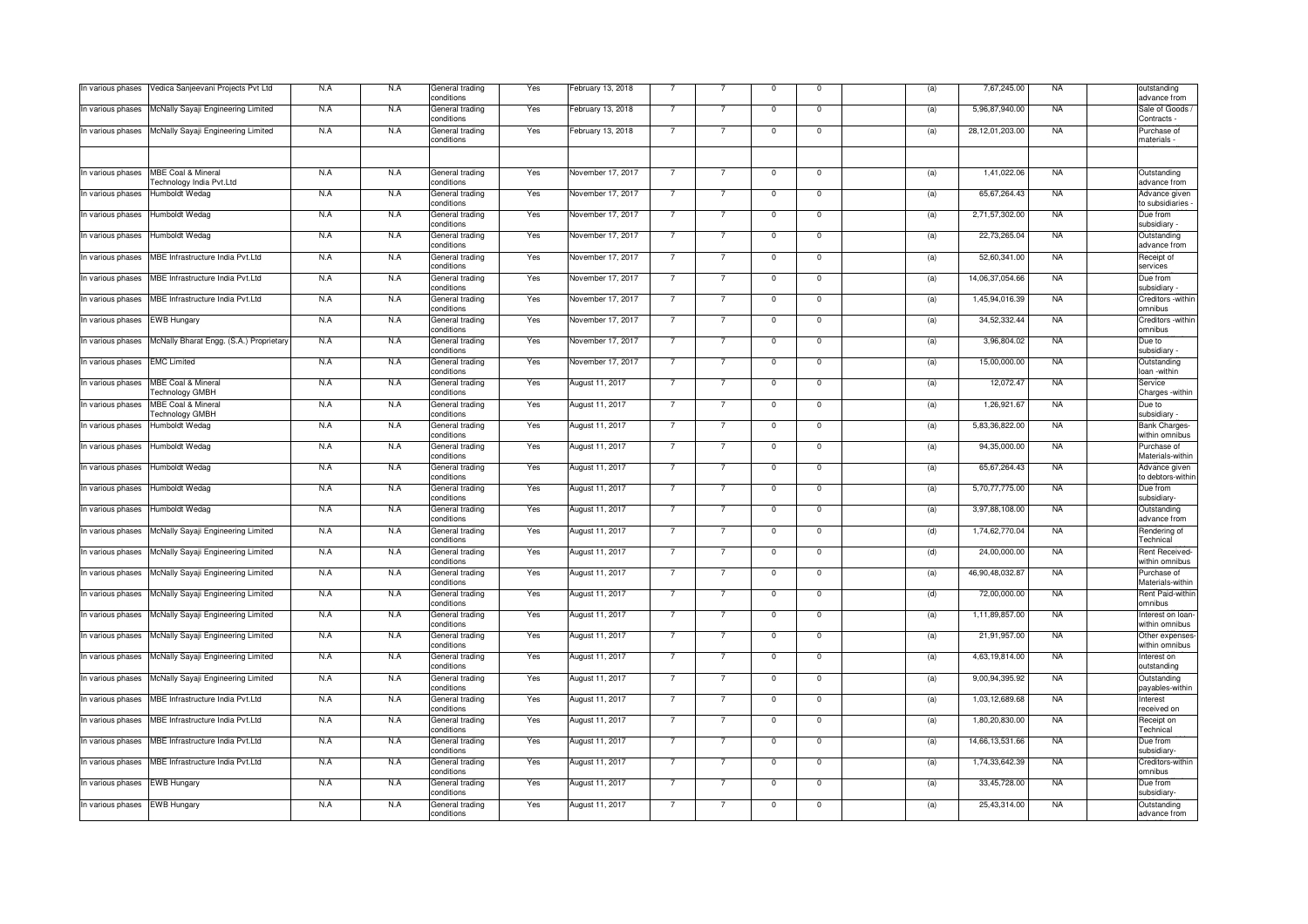| In various phases             | Vedica Sanjeevani Projects Pvt Ltd                        | N.A | N.A | General trading<br>conditions | Yes | February 13, 2018 |                |                | $\mathsf 0$    | $\mathbf 0$    | (a) | 7,67,245.00     | <b>NA</b> | outstanding<br>advance from            |
|-------------------------------|-----------------------------------------------------------|-----|-----|-------------------------------|-----|-------------------|----------------|----------------|----------------|----------------|-----|-----------------|-----------|----------------------------------------|
| In various phases             | McNally Sayaji Engineering Limited                        | N.A | N.A | General trading<br>conditions | Yes | February 13, 2018 | $\overline{7}$ | $\overline{7}$ | $\mathbf 0$    | $\mathbf 0$    | (a) | 5,96,87,940.00  | <b>NA</b> | Sale of Goods /<br>Contracts           |
| In various phases             | McNally Sayaji Engineering Limited                        | N.A | N.A | General trading<br>conditions | Yes | February 13, 2018 |                |                | $\Omega$       | $\Omega$       | (a) | 28,12,01,203.00 | <b>NA</b> | Purchase of<br>materials               |
|                               |                                                           |     |     |                               |     |                   |                |                |                |                |     |                 |           |                                        |
| In various phases             | <b>MBE Coal &amp; Mineral</b><br>Technology India Pvt.Ltd | N.A | N.A | General trading<br>conditions | Yes | November 17, 2017 | $\overline{7}$ | $\overline{7}$ | $\mathbf 0$    | $\Omega$       | (a) | 1,41,022.06     | <b>NA</b> | Outstanding<br>advance from            |
| In various phases             | Humboldt Wedag                                            | N.A | N.A | General trading<br>conditions | Yes | November 17, 2017 | $\overline{7}$ | $\overline{7}$ | $\mathsf 0$    | $\mathsf 0$    | (a) | 65,67,264.43    | <b>NA</b> | Advance given<br>to subsidiaries       |
| In various phases             | Humboldt Wedag                                            | N.A | N.A | General trading<br>conditions | Yes | November 17, 2017 | $\overline{7}$ | $\overline{7}$ | $\mathbf 0$    | $\mathbf{0}$   | (a) | 2,71,57,302.00  | <b>NA</b> | Due from<br>subsidiary                 |
| In various phases             | Humboldt Wedag                                            | N.A | N.A | General trading<br>conditions | Yes | November 17, 2017 | 7              | $\overline{7}$ | $^{\circ}$     | $\pmb{0}$      | (a) | 22,73,265.04    | <b>NA</b> | Outstanding<br>advance from            |
| In various phases             | MBE Infrastructure India Pvt.Ltd                          | N.A | N.A | General trading<br>conditions | Yes | November 17, 2017 |                | $\overline{7}$ | $\mathbf 0$    | $\mathbf 0$    | (a) | 52,60,341.00    | <b>NA</b> | Receipt of<br>services                 |
|                               | In various phases   MBE Infrastructure India Pvt.Ltd      | N.A | N.A | General trading<br>conditions | Yes | November 17, 2017 | $\overline{7}$ | $\overline{7}$ | $\mathbf{0}$   | $\mathbf{0}$   | (a) | 14,06,37,054.66 | <b>NA</b> | Due from<br>subsidiary                 |
| In various phases             | MBE Infrastructure India Pvt.Ltd                          | N.A | N.A | General trading<br>conditions | Yes | November 17, 2017 | $\overline{7}$ | $\overline{7}$ | $\mathbf 0$    | $\mathbf 0$    | (a) | 1,45,94,016.39  | <b>NA</b> | Creditors -within<br>omnibus           |
| In various phases             | <b>EWB Hungary</b>                                        | N.A | N.A | General trading<br>conditions | Yes | November 17, 2017 |                | $\overline{7}$ | $\mathsf 0$    | $\mathsf 0$    | (a) | 34,52,332.44    | <b>NA</b> | Creditors -within<br>omnibus           |
| In various phases             | McNally Bharat Engg. (S.A.) Proprietary                   | N.A | N.A | General trading<br>conditions | Yes | November 17, 2017 | $\overline{7}$ | $\overline{7}$ | $\mathsf 0$    | $\mathbf{0}$   | (a) | 3,96,804.02     | <b>NA</b> | Due to<br>subsidiary                   |
| In various phases EMC Limited |                                                           | N.A | N.A | General trading<br>conditions | Yes | November 17, 2017 | $\overline{7}$ | $\overline{7}$ | $\overline{0}$ | $\overline{0}$ | (a) | 15,00,000.00    | <b>NA</b> | Outstanding<br>loan -within            |
| In various phases             | <b>MBE Coal &amp; Mineral</b><br>Fechnology GMBH          | N.A | N.A | General trading<br>conditions | Yes | August 11, 2017   | $\overline{7}$ | $\overline{7}$ | $\mathbf 0$    | $\mathbf 0$    | (a) | 12,072.47       | <b>NA</b> | Service<br>Charges - within            |
| In various phases             | <b>MBE Coal &amp; Mineral</b><br>Technology GMBH          | N.A | N.A | General trading<br>conditions | Yes | August 11, 2017   | $\overline{7}$ | $\overline{7}$ | $\overline{0}$ | $\overline{0}$ | (a) | 1,26,921.67     | <b>NA</b> | Due to<br>subsidiary -                 |
| In various phases             | Humboldt Wedag                                            | N.A | N.A | General trading<br>conditions | Yes | August 11, 2017   | $\overline{7}$ | $\overline{7}$ | $\mathbf{0}$   | $\mathbf{0}$   | (a) | 5,83,36,822.00  | <b>NA</b> | <b>Bank Charges-</b><br>within omnibus |
| In various phases             | Humboldt Wedag                                            | N.A | N.A | General trading<br>conditions | Yes | August 11, 2017   | $\overline{7}$ | $\overline{7}$ | $\mathsf 0$    | $\mathsf 0$    | (a) | 94,35,000.00    | <b>NA</b> | Purchase of<br>Materials-within        |
| In various phases             | Humboldt Wedag                                            | N.A | N.A | General trading<br>conditions | Yes | August 11, 2017   | $\overline{7}$ | $\overline{7}$ | $\mathbf 0$    | $\mathbf 0$    | (a) | 65,67,264.43    | <b>NA</b> | Advance given<br>to debtors-within     |
| In various phases             | Humboldt Wedag                                            | N.A | N.A | General trading<br>conditions | Yes | August 11, 2017   |                | $\overline{7}$ | $\overline{0}$ | $\overline{0}$ | (a) | 5,70,77,775.00  | <b>NA</b> | Due from<br>subsidiary-                |
| In various phases             | Humboldt Wedag                                            | N.A | N.A | General trading<br>conditions | Yes | August 11, 2017   |                | $\overline{7}$ | $\mathbf{0}$   | $\mathbf{0}$   | (a) | 3,97,88,108.00  | <b>NA</b> | Outstanding<br>advance from            |
| In various phases             | McNally Sayaji Engineering Limited                        | N.A | N.A | General trading<br>conditions | Yes | August 11, 2017   | $\overline{7}$ | $\overline{7}$ | $\mathbf 0$    | $\mathbf 0$    | (d) | 1,74,62,770.04  | <b>NA</b> | Rendering of<br>Technical              |
| In various phases             | McNally Sayaji Engineering Limited                        | N.A | N.A | General trading<br>conditions | Yes | August 11, 2017   | $\overline{7}$ | $\overline{7}$ | $\mathsf 0$    | $\mathsf 0$    | (d) | 24,00,000.00    | <b>NA</b> | Rent Received-<br>within omnibus       |
| In various phases             | McNally Sayaji Engineering Limited                        | N.A | N.A | General trading<br>conditions | Yes | August 11, 2017   | $\overline{7}$ | $\overline{7}$ | $\mathbf 0$    | $\mathbf 0$    | (a) | 46,90,48,032.87 | <b>NA</b> | Purchase of<br>Materials-within        |
| In various phases             | McNally Sayaji Engineering Limited                        | N.A | N.A | General trading<br>conditions | Yes | August 11, 2017   | $\overline{7}$ | $\overline{7}$ | $\mathsf 0$    | $\mathsf 0$    | (d) | 72,00,000.00    | <b>NA</b> | Rent Paid-within<br>omnibus            |
| In various phases             | McNally Sayaji Engineering Limited                        | N.A | N.A | General trading<br>conditions | Yes | August 11, 2017   | $\overline{7}$ | $\overline{7}$ | $\mathbf 0$    | $\overline{0}$ | (a) | 1,11,89,857.00  | <b>NA</b> | Interest on loan-<br>within omnibus    |
| In various phases             | McNally Sayaji Engineering Limited                        | N.A | N.A | General trading<br>conditions | Yes | August 11, 2017   | $\overline{7}$ | $\overline{7}$ | $\overline{0}$ | $\overline{0}$ | (a) | 21,91,957.00    | <b>NA</b> | Other expenses-<br>within omnibus      |
| In various phases             | McNally Sayaji Engineering Limited                        | N.A | N.A | General trading<br>conditions | Yes | August 11, 2017   |                | $\overline{7}$ | $\mathbf 0$    | $\mathbf{0}$   | (a) | 4,63,19,814.00  | <b>NA</b> | Interest on<br>outstanding             |
| In various phases             | McNally Sayaji Engineering Limited                        | N.A | N.A | General trading<br>conditions | Yes | August 11, 2017   | $\overline{7}$ | $\overline{7}$ | $\mathsf 0$    | $\mathsf 0$    | (a) | 9,00,94,395.92  | <b>NA</b> | Outstanding<br>payables-within         |
| In various phases             | MBE Infrastructure India Pvt.Ltd                          | N.A | N.A | General trading<br>conditions | Yes | August 11, 2017   | $\overline{7}$ | $\overline{7}$ | $\mathsf 0$    | $\mathbf 0$    | (a) | 1,03,12,689.68  | <b>NA</b> | Interest<br>received on                |
| In various phases             | MBE Infrastructure India Pvt.Ltd                          | N.A | N.A | General trading<br>conditions | Yes | August 11, 2017   | $\overline{7}$ | $\overline{7}$ | $\mathsf 0$    | $\mathsf 0$    | (a) | 1,80,20,830.00  | <b>NA</b> | Receipt on<br>Technical                |
| In various phases             | MBE Infrastructure India Pvt.Ltd                          | N.A | N.A | General trading<br>conditions | Yes | August 11, 2017   | $\overline{7}$ | $\overline{7}$ | $\mathbf 0$    | $\pmb{0}$      | (a) | 14,66,13,531.66 | <b>NA</b> | Due from<br>subsidiary-                |
| In various phases             | MBE Infrastructure India Pvt.Ltd                          | N.A | N.A | General trading<br>conditions | Yes | August 11, 2017   |                | $\overline{7}$ | $\overline{0}$ | $\overline{0}$ | (a) | 1,74,33,642.39  | <b>NA</b> | Creditors-within<br>omnibus            |
| In various phases             | <b>EWB Hungary</b>                                        | N.A | N.A | General trading<br>conditions | Yes | August 11, 2017   | $\overline{7}$ | $\overline{7}$ | $\mathbf 0$    | $\mathbf 0$    | (a) | 33,45,728.00    | <b>NA</b> | Due from<br>subsidiary-                |
| In various phases             | <b>EWB Hungary</b>                                        | N.A | N.A | General trading<br>conditions | Yes | August 11, 2017   | $\overline{7}$ | $\overline{7}$ | $\mathsf 0$    | $\Omega$       | (a) | 25,43,314.00    | <b>NA</b> | Outstanding<br>advance from            |
|                               |                                                           |     |     |                               |     |                   |                |                |                |                |     |                 |           |                                        |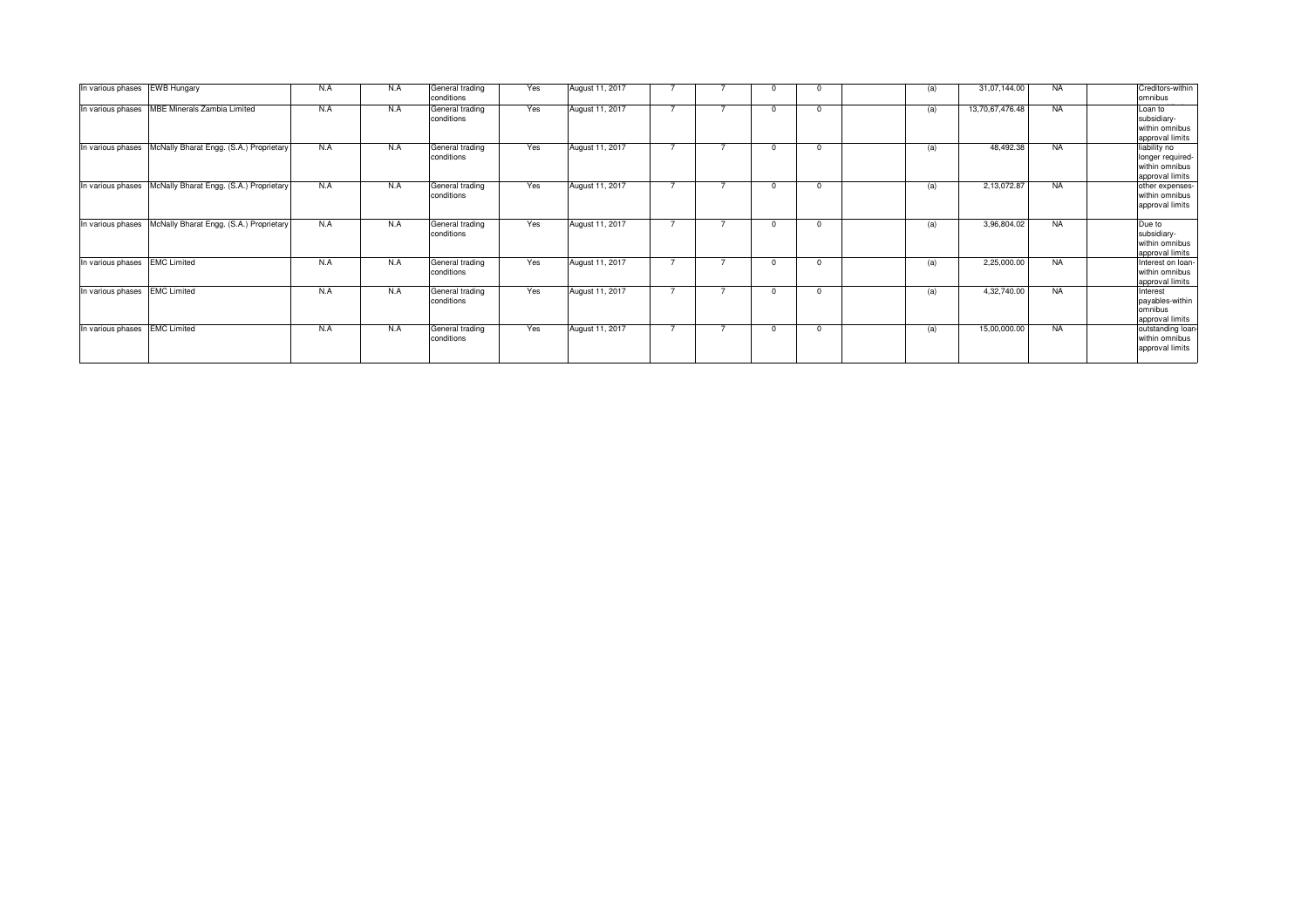| In various phases | <b>EWB Hungary</b>                            | N.A | N.A | General trading<br>conditions | Yes | August 11, 2017 |                |   |          |          | (a) | 31,07,144.00    | <b>NA</b> | Creditors-within<br>omnibus                                           |
|-------------------|-----------------------------------------------|-----|-----|-------------------------------|-----|-----------------|----------------|---|----------|----------|-----|-----------------|-----------|-----------------------------------------------------------------------|
|                   | In various phases MBE Minerals Zambia Limited | N.A | N.A | General trading<br>conditions | Yes | August 11, 2017 |                |   | $\Omega$ | $\Omega$ | (a) | 13,70,67,476.48 | <b>NA</b> | Loan to<br>subsidiary-<br>within omnibus<br>approval limits           |
| In various phases | McNally Bharat Engg. (S.A.) Proprietary       | N.A | N.A | General trading<br>conditions | Yes | August 11, 2017 | $\overline{ }$ |   | $\Omega$ | $\Omega$ | (a) | 48,492.38       | <b>NA</b> | liability no<br>longer required-<br>within omnibus<br>approval limits |
| In various phases | McNally Bharat Engg. (S.A.) Proprietary       | N.A | N.A | General trading<br>conditions | Yes | August 11, 2017 |                |   | $\Omega$ | $\Omega$ | (a) | 2,13,072.87     | <b>NA</b> | other expenses-<br>within omnibus<br>approval limits                  |
| In various phases | McNally Bharat Engg. (S.A.) Proprietary       | N.A | N.A | General trading<br>conditions | Yes | August 11, 2017 | $\overline{ }$ |   | $\Omega$ | $\Omega$ | (a) | 3,96,804.02     | <b>NA</b> | Due to<br>subsidiary-<br>within omnibus<br>approval limits            |
| In various phases | <b>EMC Limited</b>                            | N.A | N.A | General trading<br>conditions | Yes | August 11, 2017 |                |   | $\Omega$ | $\Omega$ | (a) | 2,25,000.00     | <b>NA</b> | Interest on loan-<br>within omnibus<br>approval limits                |
| In various phases | <b>EMC Limited</b>                            | N.A | N.A | General trading<br>conditions | Yes | August 11, 2017 | $\overline{ }$ | 7 | $\Omega$ | $\Omega$ | (a) | 4,32,740.00     | <b>NA</b> | Interest<br>payables-within<br>lomnibus<br>approval limits            |
| In various phases | <b>EMC Limited</b>                            | N.A | N.A | General trading<br>conditions | Yes | August 11, 2017 |                |   | $\Omega$ | $\Omega$ | (a) | 15,00,000.00    | <b>NA</b> | outstanding loan-<br>within omnibus<br>approval limits                |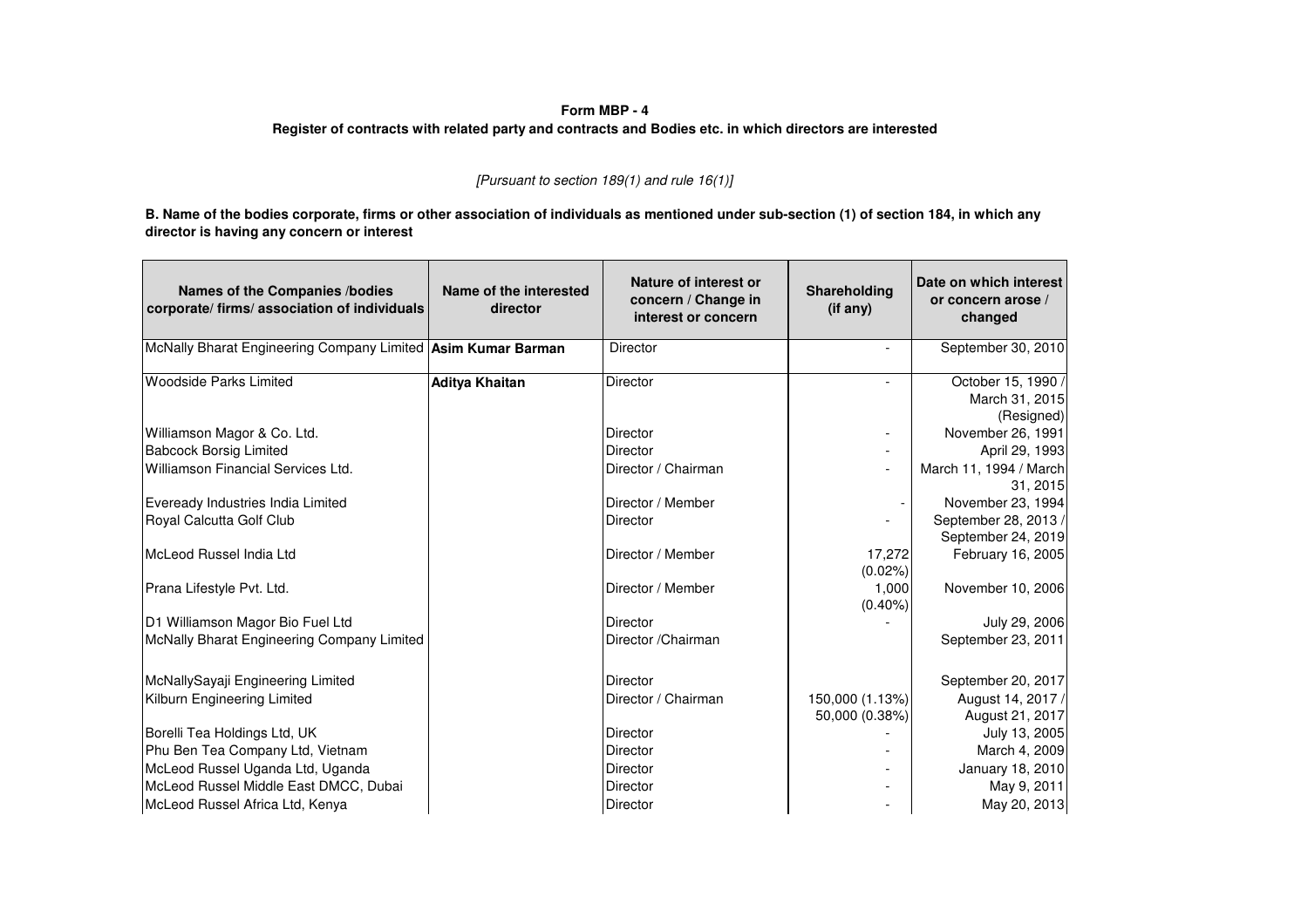| Form MBP - 4<br>Register of contracts with related party and contracts and Bodies etc. in which directors are interested                                                                 |                                    |                                                                     |                          |                                                         |  |  |  |  |  |  |  |  |  |
|------------------------------------------------------------------------------------------------------------------------------------------------------------------------------------------|------------------------------------|---------------------------------------------------------------------|--------------------------|---------------------------------------------------------|--|--|--|--|--|--|--|--|--|
|                                                                                                                                                                                          |                                    | [Pursuant to section 189(1) and rule $16(1)$ ]                      |                          |                                                         |  |  |  |  |  |  |  |  |  |
| B. Name of the bodies corporate, firms or other association of individuals as mentioned under sub-section (1) of section 184, in which any<br>director is having any concern or interest |                                    |                                                                     |                          |                                                         |  |  |  |  |  |  |  |  |  |
| Names of the Companies /bodies<br>corporate/firms/association of individuals                                                                                                             | Name of the interested<br>director | Nature of interest or<br>concern / Change in<br>interest or concern | Shareholding<br>(if any) | Date on which interest<br>or concern arose /<br>changed |  |  |  |  |  |  |  |  |  |
| McNally Bharat Engineering Company Limited Asim Kumar Barman                                                                                                                             |                                    | Director                                                            | $\blacksquare$           | September 30, 2010                                      |  |  |  |  |  |  |  |  |  |
| <b>Woodside Parks Limited</b>                                                                                                                                                            | <b>Aditya Khaitan</b>              | Director                                                            |                          | October 15, 1990<br>March 31, 2015<br>(Resigned)        |  |  |  |  |  |  |  |  |  |
| Williamson Magor & Co. Ltd.                                                                                                                                                              |                                    | <b>Director</b>                                                     | $\overline{\phantom{a}}$ | November 26, 1991                                       |  |  |  |  |  |  |  |  |  |
| <b>Babcock Borsig Limited</b>                                                                                                                                                            |                                    | <b>Director</b>                                                     |                          | April 29, 1993                                          |  |  |  |  |  |  |  |  |  |
| Williamson Financial Services Ltd.                                                                                                                                                       |                                    | Director / Chairman                                                 | $\overline{a}$           | March 11, 1994 / March<br>31, 2015                      |  |  |  |  |  |  |  |  |  |
| Eveready Industries India Limited                                                                                                                                                        |                                    | Director / Member                                                   |                          | November 23, 1994                                       |  |  |  |  |  |  |  |  |  |
| Royal Calcutta Golf Club                                                                                                                                                                 |                                    | Director                                                            |                          | September 28, 2013 /<br>September 24, 2019              |  |  |  |  |  |  |  |  |  |
| McLeod Russel India Ltd                                                                                                                                                                  |                                    | Director / Member                                                   | 17,272<br>$(0.02\%)$     | February 16, 2005                                       |  |  |  |  |  |  |  |  |  |
| Prana Lifestyle Pvt. Ltd.                                                                                                                                                                |                                    | Director / Member                                                   | 1,000<br>$(0.40\%)$      | November 10, 2006                                       |  |  |  |  |  |  |  |  |  |
| D1 Williamson Magor Bio Fuel Ltd                                                                                                                                                         |                                    | Director                                                            |                          | July 29, 2006                                           |  |  |  |  |  |  |  |  |  |
| McNally Bharat Engineering Company Limited                                                                                                                                               |                                    | Director / Chairman                                                 |                          | September 23, 2011                                      |  |  |  |  |  |  |  |  |  |
| McNallySayaji Engineering Limited                                                                                                                                                        |                                    | Director                                                            |                          | September 20, 2017                                      |  |  |  |  |  |  |  |  |  |
| Kilburn Engineering Limited                                                                                                                                                              |                                    | Director / Chairman                                                 | 150,000 (1.13%)          | August 14, 2017 /                                       |  |  |  |  |  |  |  |  |  |
|                                                                                                                                                                                          |                                    |                                                                     | 50,000 (0.38%)           | August 21, 2017                                         |  |  |  |  |  |  |  |  |  |
| Borelli Tea Holdings Ltd, UK                                                                                                                                                             |                                    | <b>Director</b><br><b>Director</b>                                  |                          | July 13, 2005                                           |  |  |  |  |  |  |  |  |  |
| Phu Ben Tea Company Ltd, Vietnam<br>McLeod Russel Uganda Ltd, Uganda                                                                                                                     |                                    | <b>Director</b>                                                     |                          | March 4, 2009<br>January 18, 2010                       |  |  |  |  |  |  |  |  |  |
| McLeod Russel Middle East DMCC, Dubai                                                                                                                                                    |                                    | Director                                                            | $\overline{\phantom{0}}$ | May 9, 2011                                             |  |  |  |  |  |  |  |  |  |
| McLeod Russel Africa Ltd, Kenya                                                                                                                                                          |                                    | Director                                                            |                          | May 20, 2013                                            |  |  |  |  |  |  |  |  |  |
|                                                                                                                                                                                          |                                    |                                                                     |                          |                                                         |  |  |  |  |  |  |  |  |  |